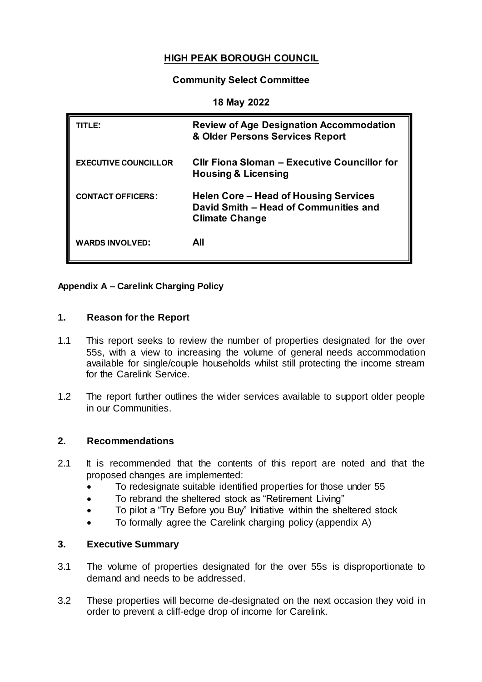# **HIGH PEAK BOROUGH COUNCIL**

# **Community Select Committee**

#### **18 May 2022**

| TITLE:                      | <b>Review of Age Designation Accommodation</b><br>& Older Persons Services Report                       |
|-----------------------------|---------------------------------------------------------------------------------------------------------|
| <b>EXECUTIVE COUNCILLOR</b> | CIIr Fiona Sloman - Executive Councillor for<br><b>Housing &amp; Licensing</b>                          |
| <b>CONTACT OFFICERS:</b>    | Helen Core – Head of Housing Services<br>David Smith - Head of Communities and<br><b>Climate Change</b> |
| <b>WARDS INVOLVED:</b>      | All                                                                                                     |

#### **Appendix A – Carelink Charging Policy**

#### **1. Reason for the Report**

- 1.1 This report seeks to review the number of properties designated for the over 55s, with a view to increasing the volume of general needs accommodation available for single/couple households whilst still protecting the income stream for the Carelink Service.
- 1.2 The report further outlines the wider services available to support older people in our Communities.

# **2. Recommendations**

- 2.1 It is recommended that the contents of this report are noted and that the proposed changes are implemented:
	- To redesignate suitable identified properties for those under 55
	- To rebrand the sheltered stock as "Retirement Living"
	- To pilot a "Try Before you Buy" Initiative within the sheltered stock
	- To formally agree the Carelink charging policy (appendix A)

# **3. Executive Summary**

- 3.1 The volume of properties designated for the over 55s is disproportionate to demand and needs to be addressed.
- 3.2 These properties will become de-designated on the next occasion they void in order to prevent a cliff-edge drop of income for Carelink.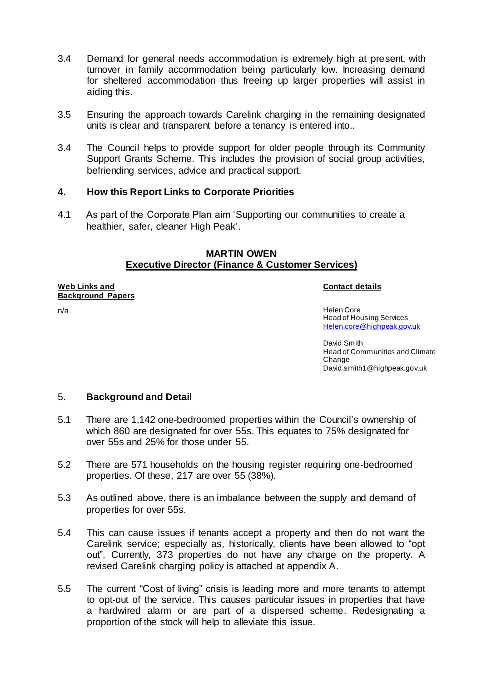- 3.4 Demand for general needs accommodation is extremely high at present, with turnover in family accommodation being particularly low. Increasing demand for sheltered accommodation thus freeing up larger properties will assist in aiding this.
- 3.5 Ensuring the approach towards Carelink charging in the remaining designated units is clear and transparent before a tenancy is entered into..
- 3.4 The Council helps to provide support for older people through its Community Support Grants Scheme. This includes the provision of social group activities, befriending services, advice and practical support.

# **4. How this Report Links to Corporate Priorities**

4.1 As part of the Corporate Plan aim 'Supporting our communities to create a healthier, safer, cleaner High Peak'.

# **MARTIN OWEN Executive Director (Finance & Customer Services)**

#### **Web Links and Background Papers**

#### **Contact details**

n/a Helen Core Head of Housing Services [Helen.core@highpeak.gov.uk](mailto:Helen.core@highpeak.gov.uk)

> David Smith Head of Communities and Climate Change David.smith1@highpeak.gov.uk

# 5. **Background and Detail**

- 5.1 There are 1,142 one-bedroomed properties within the Council's ownership of which 860 are designated for over 55s. This equates to 75% designated for over 55s and 25% for those under 55.
- 5.2 There are 571 households on the housing register requiring one-bedroomed properties. Of these, 217 are over 55 (38%).
- 5.3 As outlined above, there is an imbalance between the supply and demand of properties for over 55s.
- 5.4 This can cause issues if tenants accept a property and then do not want the Carelink service; especially as, historically, clients have been allowed to "opt out". Currently, 373 properties do not have any charge on the property. A revised Carelink charging policy is attached at appendix A.
- 5.5 The current "Cost of living" crisis is leading more and more tenants to attempt to opt-out of the service. This causes particular issues in properties that have a hardwired alarm or are part of a dispersed scheme. Redesignating a proportion of the stock will help to alleviate this issue.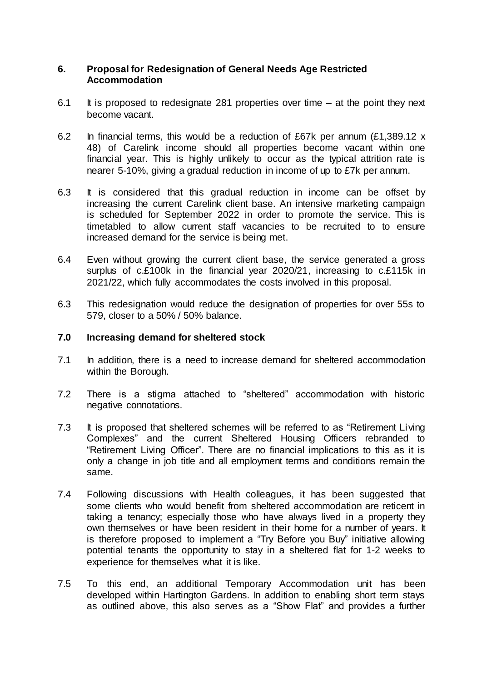# **6. Proposal for Redesignation of General Needs Age Restricted Accommodation**

- 6.1 It is proposed to redesignate 281 properties over time  $-$  at the point they next become vacant.
- 6.2 In financial terms, this would be a reduction of £67k per annum (£1,389.12 x 48) of Carelink income should all properties become vacant within one financial year. This is highly unlikely to occur as the typical attrition rate is nearer 5-10%, giving a gradual reduction in income of up to £7k per annum.
- 6.3 It is considered that this gradual reduction in income can be offset by increasing the current Carelink client base. An intensive marketing campaign is scheduled for September 2022 in order to promote the service. This is timetabled to allow current staff vacancies to be recruited to to ensure increased demand for the service is being met.
- 6.4 Even without growing the current client base, the service generated a gross surplus of c.£100k in the financial year 2020/21, increasing to c.£115k in 2021/22, which fully accommodates the costs involved in this proposal.
- 6.3 This redesignation would reduce the designation of properties for over 55s to 579, closer to a 50% / 50% balance.

#### **7.0 Increasing demand for sheltered stock**

- 7.1 In addition, there is a need to increase demand for sheltered accommodation within the Borough.
- 7.2 There is a stigma attached to "sheltered" accommodation with historic negative connotations.
- 7.3 It is proposed that sheltered schemes will be referred to as "Retirement Living Complexes" and the current Sheltered Housing Officers rebranded to "Retirement Living Officer". There are no financial implications to this as it is only a change in job title and all employment terms and conditions remain the same.
- 7.4 Following discussions with Health colleagues, it has been suggested that some clients who would benefit from sheltered accommodation are reticent in taking a tenancy; especially those who have always lived in a property they own themselves or have been resident in their home for a number of years. It is therefore proposed to implement a "Try Before you Buy" initiative allowing potential tenants the opportunity to stay in a sheltered flat for 1-2 weeks to experience for themselves what it is like.
- 7.5 To this end, an additional Temporary Accommodation unit has been developed within Hartington Gardens. In addition to enabling short term stays as outlined above, this also serves as a "Show Flat" and provides a further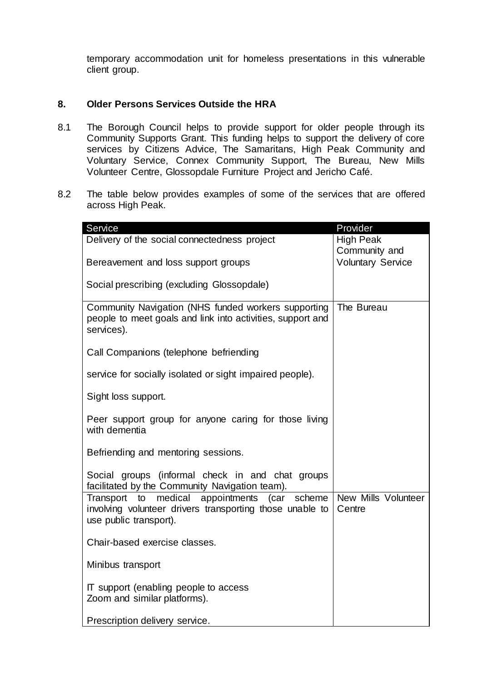temporary accommodation unit for homeless presentations in this vulnerable client group.

# **8. Older Persons Services Outside the HRA**

- 8.1 The Borough Council helps to provide support for older people through its Community Supports Grant. This funding helps to support the delivery of core services by Citizens Advice, The Samaritans, High Peak Community and Voluntary Service, Connex Community Support, The Bureau, New Mills Volunteer Centre, Glossopdale Furniture Project and Jericho Café.
- 8.2 The table below provides examples of some of the services that are offered across High Peak.

| Service                                                                                                                                | Provider                          |
|----------------------------------------------------------------------------------------------------------------------------------------|-----------------------------------|
| Delivery of the social connectedness project                                                                                           | <b>High Peak</b><br>Community and |
| Bereavement and loss support groups                                                                                                    | <b>Voluntary Service</b>          |
| Social prescribing (excluding Glossopdale)                                                                                             |                                   |
| Community Navigation (NHS funded workers supporting<br>people to meet goals and link into activities, support and<br>services).        | The Bureau                        |
| Call Companions (telephone befriending                                                                                                 |                                   |
| service for socially isolated or sight impaired people).                                                                               |                                   |
| Sight loss support.                                                                                                                    |                                   |
| Peer support group for anyone caring for those living<br>with dementia                                                                 |                                   |
| Befriending and mentoring sessions.                                                                                                    |                                   |
| Social groups (informal check in and chat groups<br>facilitated by the Community Navigation team).                                     |                                   |
| Transport to medical appointments (car<br>scheme<br>involving volunteer drivers transporting those unable to<br>use public transport). | New Mills Volunteer<br>Centre     |
| Chair-based exercise classes.                                                                                                          |                                   |
| Minibus transport                                                                                                                      |                                   |
| IT support (enabling people to access<br>Zoom and similar platforms).                                                                  |                                   |
| Prescription delivery service.                                                                                                         |                                   |